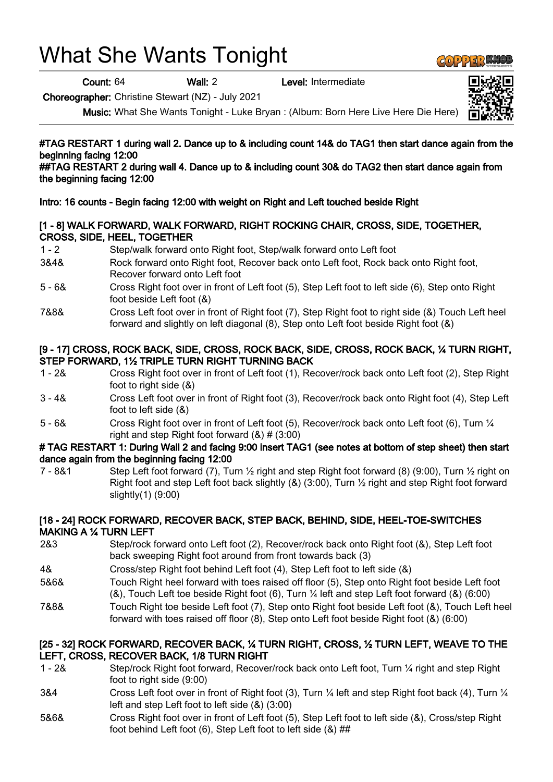# What She Wants Tonight

Count: 64 Wall: 2 Level: Intermediate

Choreographer: Christine Stewart (NZ) - July 2021

Music: What She Wants Tonight - Luke Bryan : (Album: Born Here Live Here Die Here)

# #TAG RESTART 1 during wall 2. Dance up to & including count 14& do TAG1 then start dance again from the beginning facing 12:00

##TAG RESTART 2 during wall 4. Dance up to & including count 30& do TAG2 then start dance again from the beginning facing 12:00

# Intro: 16 counts - Begin facing 12:00 with weight on Right and Left touched beside Right

# [1 - 8] WALK FORWARD, WALK FORWARD, RIGHT ROCKING CHAIR, CROSS, SIDE, TOGETHER, CROSS, SIDE, HEEL, TOGETHER

- 1 2 Step/walk forward onto Right foot, Step/walk forward onto Left foot
- 3&4& Rock forward onto Right foot, Recover back onto Left foot, Rock back onto Right foot, Recover forward onto Left foot
- 5 6& Cross Right foot over in front of Left foot (5), Step Left foot to left side (6), Step onto Right foot beside Left foot (&)
- 7&8& Cross Left foot over in front of Right foot (7), Step Right foot to right side (&) Touch Left heel forward and slightly on left diagonal (8), Step onto Left foot beside Right foot (&)

#### [9 - 17] CROSS, ROCK BACK, SIDE, CROSS, ROCK BACK, SIDE, CROSS, ROCK BACK, ¼ TURN RIGHT, STEP FORWARD, 1½ TRIPLE TURN RIGHT TURNING BACK

- 1 2& Cross Right foot over in front of Left foot (1), Recover/rock back onto Left foot (2), Step Right foot to right side (&)
- 3 4& Cross Left foot over in front of Right foot (3), Recover/rock back onto Right foot (4), Step Left foot to left side (&)
- 5 6& Cross Right foot over in front of Left foot (5), Recover/rock back onto Left foot (6), Turn ¼ right and step Right foot forward  $(8)$  #  $(3:00)$

#### # TAG RESTART 1: During Wall 2 and facing 9:00 insert TAG1 (see notes at bottom of step sheet) then start dance again from the beginning facing 12:00

7 - 8&1 Step Left foot forward (7), Turn  $\frac{1}{2}$  right and step Right foot forward (8) (9:00), Turn  $\frac{1}{2}$  right on Right foot and step Left foot back slightly (&) (3:00), Turn ½ right and step Right foot forward slightly(1) (9:00)

# [18 - 24] ROCK FORWARD, RECOVER BACK, STEP BACK, BEHIND, SIDE, HEEL-TOE-SWITCHES MAKING A ¼ TURN LEFT

- 2&3 Step/rock forward onto Left foot (2), Recover/rock back onto Right foot (&), Step Left foot back sweeping Right foot around from front towards back (3)
- 4& Cross/step Right foot behind Left foot (4), Step Left foot to left side (&)
- 5&6& Touch Right heel forward with toes raised off floor (5), Step onto Right foot beside Left foot (&), Touch Left toe beside Right foot (6), Turn ¼ left and step Left foot forward (&) (6:00)
- 7&8& Touch Right toe beside Left foot (7), Step onto Right foot beside Left foot (&), Touch Left heel forward with toes raised off floor (8), Step onto Left foot beside Right foot (&) (6:00)

# [25 - 32] ROCK FORWARD, RECOVER BACK, ¼ TURN RIGHT, CROSS, ½ TURN LEFT, WEAVE TO THE LEFT, CROSS, RECOVER BACK, 1/8 TURN RIGHT

- 1 2& Step/rock Right foot forward, Recover/rock back onto Left foot, Turn ¼ right and step Right foot to right side (9:00)
- 3&4 Cross Left foot over in front of Right foot (3), Turn ¼ left and step Right foot back (4), Turn ¼ left and step Left foot to left side (&) (3:00)
- 5&6& Cross Right foot over in front of Left foot (5), Step Left foot to left side (&), Cross/step Right foot behind Left foot (6), Step Left foot to left side (&) ##



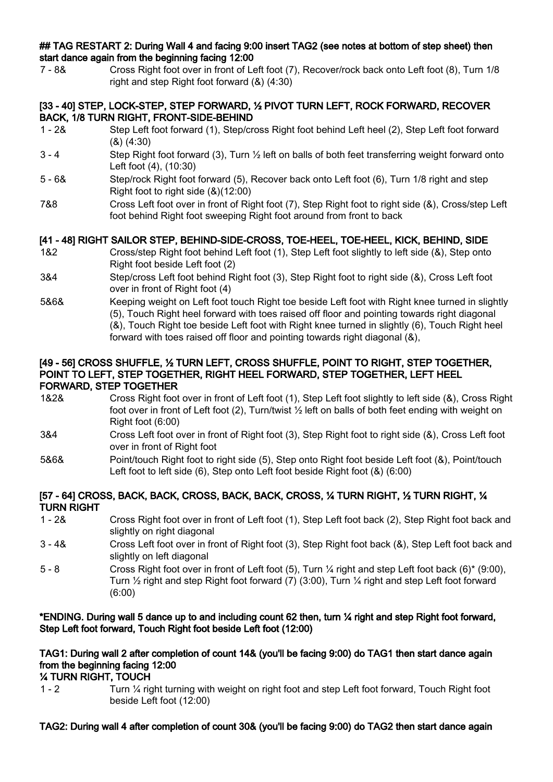#### ## TAG RESTART 2: During Wall 4 and facing 9:00 insert TAG2 (see notes at bottom of step sheet) then start dance again from the beginning facing 12:00

7 - 8& Cross Right foot over in front of Left foot (7), Recover/rock back onto Left foot (8), Turn 1/8 right and step Right foot forward (&) (4:30)

#### [33 - 40] STEP, LOCK-STEP, STEP FORWARD, ½ PIVOT TURN LEFT, ROCK FORWARD, RECOVER BACK, 1/8 TURN RIGHT, FRONT-SIDE-BEHIND

- 1 2& Step Left foot forward (1), Step/cross Right foot behind Left heel (2), Step Left foot forward (&) (4:30)
- 3 4 Step Right foot forward (3), Turn ½ left on balls of both feet transferring weight forward onto Left foot (4), (10:30)
- 5 6& Step/rock Right foot forward (5), Recover back onto Left foot (6), Turn 1/8 right and step Right foot to right side (&)(12:00)
- 7&8 Cross Left foot over in front of Right foot (7), Step Right foot to right side (&), Cross/step Left foot behind Right foot sweeping Right foot around from front to back

# [41 - 48] RIGHT SAILOR STEP, BEHIND-SIDE-CROSS, TOE-HEEL, TOE-HEEL, KICK, BEHIND, SIDE

- 1&2 Cross/step Right foot behind Left foot (1), Step Left foot slightly to left side (&), Step onto Right foot beside Left foot (2)
- 3&4 Step/cross Left foot behind Right foot (3), Step Right foot to right side (&), Cross Left foot over in front of Right foot (4)
- 5&6& Keeping weight on Left foot touch Right toe beside Left foot with Right knee turned in slightly (5), Touch Right heel forward with toes raised off floor and pointing towards right diagonal (&), Touch Right toe beside Left foot with Right knee turned in slightly (6), Touch Right heel forward with toes raised off floor and pointing towards right diagonal (&),

#### [49 - 56] CROSS SHUFFLE, ½ TURN LEFT, CROSS SHUFFLE, POINT TO RIGHT, STEP TOGETHER, POINT TO LEFT, STEP TOGETHER, RIGHT HEEL FORWARD, STEP TOGETHER, LEFT HEEL FORWARD, STEP TOGETHER

- 1&2& Cross Right foot over in front of Left foot (1), Step Left foot slightly to left side (&), Cross Right foot over in front of Left foot (2), Turn/twist  $\frac{1}{2}$  left on balls of both feet ending with weight on Right foot (6:00)
- 3&4 Cross Left foot over in front of Right foot (3), Step Right foot to right side (&), Cross Left foot over in front of Right foot
- 5&6& Point/touch Right foot to right side (5), Step onto Right foot beside Left foot (&), Point/touch Left foot to left side (6), Step onto Left foot beside Right foot (&) (6:00)

# [57 - 64] CROSS, BACK, BACK, CROSS, BACK, BACK, CROSS, ¼ TURN RIGHT, ½ TURN RIGHT, ¼ TURN RIGHT

- 1 2& Cross Right foot over in front of Left foot (1), Step Left foot back (2), Step Right foot back and slightly on right diagonal
- 3 4& Cross Left foot over in front of Right foot (3), Step Right foot back (&), Step Left foot back and slightly on left diagonal
- 5 8 Cross Right foot over in front of Left foot (5), Turn ¼ right and step Left foot back (6)\* (9:00), Turn  $\frac{1}{2}$  right and step Right foot forward (7) (3:00), Turn  $\frac{1}{4}$  right and step Left foot forward (6:00)

# \*ENDING. During wall 5 dance up to and including count 62 then, turn ¼ right and step Right foot forward, Step Left foot forward, Touch Right foot beside Left foot (12:00)

# TAG1: During wall 2 after completion of count 14& (you'll be facing 9:00) do TAG1 then start dance again from the beginning facing 12:00

# ¼ TURN RIGHT, TOUCH

1 - 2 Turn ¼ right turning with weight on right foot and step Left foot forward, Touch Right foot beside Left foot (12:00)

# TAG2: During wall 4 after completion of count 30& (you'll be facing 9:00) do TAG2 then start dance again